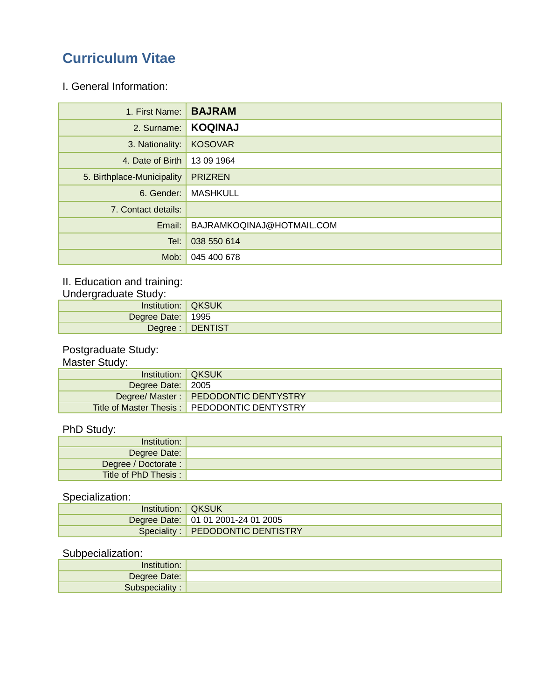# **Curriculum Vitae**

I. General Information:

| 1. First Name:             | <b>BAJRAM</b>             |
|----------------------------|---------------------------|
| 2. Surname:                | <b>KOQINAJ</b>            |
| 3. Nationality:            | <b>KOSOVAR</b>            |
| 4. Date of Birth           | 13 09 1964                |
| 5. Birthplace-Municipality | <b>PRIZREN</b>            |
| 6. Gender:                 | <b>MASHKULL</b>           |
| 7. Contact details:        |                           |
| Email:                     | BAJRAMKOQINAJ@HOTMAIL.COM |
| Tel:                       | 038 550 614               |
| Mob:                       | 045 400 678               |

### II. Education and training:

Undergraduate Study:

| Institution:      | <b>QKSUK</b>     |
|-------------------|------------------|
| Degree Date: 1995 |                  |
|                   | Degree : DENTIST |

#### Postgraduate Study:

#### Master Study:

| Institution: <b>QKSUK</b> |                                              |
|---------------------------|----------------------------------------------|
| Degree Date: 2005         |                                              |
|                           | Degree/ Master:   PEDODONTIC DENTYSTRY       |
|                           | Title of Master Thesis: PEDODONTIC DENTYSTRY |

#### PhD Study:

| Institution:         |  |
|----------------------|--|
| Degree Date:         |  |
| Degree / Doctorate : |  |
| Title of PhD Thesis: |  |

### Specialization:

| Institution:   QKSUK |                                    |
|----------------------|------------------------------------|
|                      | Degree Date: 01 01 2001-24 01 2005 |
|                      | Speciality: PEDODONTIC DENTISTRY   |

#### Subpecialization:

| Degree Date: |  |
|--------------|--|
| ciality :    |  |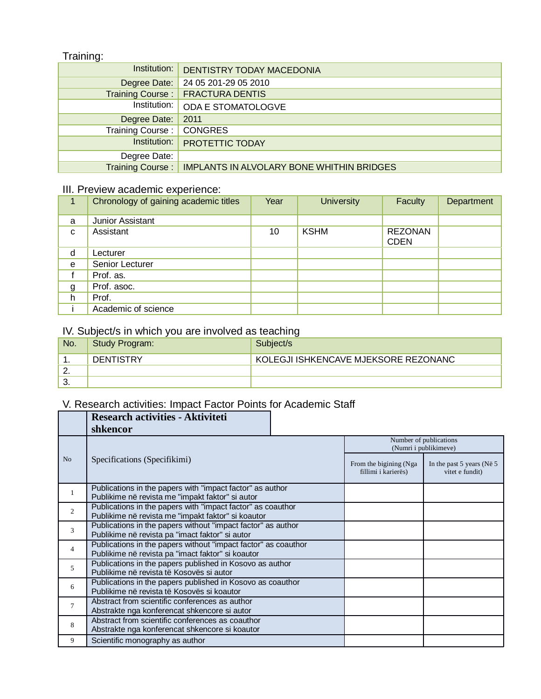#### Training:

| Institution:            | DENTISTRY TODAY MACEDONIA                        |
|-------------------------|--------------------------------------------------|
| Degree Date:            | 24 05 201-29 05 2010                             |
| Training Course:        | <b>FRACTURA DENTIS</b>                           |
| Institution:            | ODA E STOMATOLOGVE                               |
| Degree Date:            | 2011                                             |
| Training Course:        | <b>CONGRES</b>                                   |
| Institution:            | PROTETTIC TODAY                                  |
| Degree Date:            |                                                  |
| <b>Training Course:</b> | <b>IMPLANTS IN ALVOLARY BONE WHITHIN BRIDGES</b> |

#### III. Preview academic experience:

|   | Chronology of gaining academic titles | Year | <b>University</b> | Faculty                       | Department |
|---|---------------------------------------|------|-------------------|-------------------------------|------------|
| a | Junior Assistant                      |      |                   |                               |            |
| C | Assistant                             | 10   | <b>KSHM</b>       | <b>REZONAN</b><br><b>CDEN</b> |            |
| d | Lecturer                              |      |                   |                               |            |
| e | Senior Lecturer                       |      |                   |                               |            |
|   | Prof. as.                             |      |                   |                               |            |
| g | Prof. asoc.                           |      |                   |                               |            |
| h | Prof.                                 |      |                   |                               |            |
|   | Academic of science                   |      |                   |                               |            |

### IV. Subject/s in which you are involved as teaching

| No.      | <b>Study Program:</b> | Subject/s                            |
|----------|-----------------------|--------------------------------------|
|          | <b>DENTISTRY</b>      | KOLEGJI ISHKENCAVE MJEKSORE REZONANC |
| <u>.</u> |                       |                                      |
| . ب      |                       |                                      |

# V. Research activities: Impact Factor Points for Academic Staff

|                | <b>Research activities - Aktiviteti</b>                                                                             |  |                                                 |                                                               |  |
|----------------|---------------------------------------------------------------------------------------------------------------------|--|-------------------------------------------------|---------------------------------------------------------------|--|
|                | shkencor                                                                                                            |  |                                                 |                                                               |  |
|                | Specifications (Specifikimi)                                                                                        |  | Number of publications<br>(Numri i publikimeve) |                                                               |  |
| N <sub>o</sub> |                                                                                                                     |  | From the bigining (Nga<br>fillimi i karierës)   | In the past 5 years ( $N\ddot{\text{e}}$ 5<br>vitet e fundit) |  |
| 1              | Publications in the papers with "impact factor" as author<br>Publikime në revista me "impakt faktor" si autor       |  |                                                 |                                                               |  |
| $\overline{2}$ | Publications in the papers with "impact factor" as coauthor<br>Publikime në revista me "impakt faktor" si koautor   |  |                                                 |                                                               |  |
| 3              | Publications in the papers without "impact factor" as author<br>Publikime në revista pa "imact faktor" si autor     |  |                                                 |                                                               |  |
| 4              | Publications in the papers without "impact factor" as coauthor<br>Publikime në revista pa "imact faktor" si koautor |  |                                                 |                                                               |  |
| 5              | Publications in the papers published in Kosovo as author<br>Publikime në revista të Kosovës si autor                |  |                                                 |                                                               |  |
| 6              | Publications in the papers published in Kosovo as coauthor<br>Publikime në revista të Kosovës si koautor            |  |                                                 |                                                               |  |
| 7              | Abstract from scientific conferences as author<br>Abstrakte nga konferencat shkencore si autor                      |  |                                                 |                                                               |  |
| 8              | Abstract from scientific conferences as coauthor<br>Abstrakte nga konferencat shkencore si koautor                  |  |                                                 |                                                               |  |
| 9              | Scientific monography as author                                                                                     |  |                                                 |                                                               |  |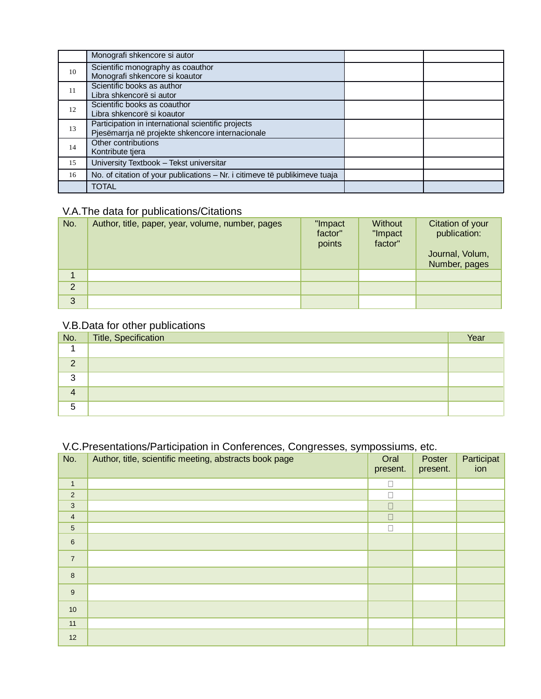|    | Monografi shkencore si autor                                               |  |
|----|----------------------------------------------------------------------------|--|
| 10 | Scientific monography as coauthor                                          |  |
|    | Monografi shkencore si koautor                                             |  |
| 11 | Scientific books as author                                                 |  |
|    | Libra shkencorë si autor                                                   |  |
| 12 | Scientific books as coauthor                                               |  |
|    | Libra shkencorë si koautor                                                 |  |
| 13 | Participation in international scientific projects                         |  |
|    | Pjesëmarrja në projekte shkencore internacionale                           |  |
| 14 | Other contributions                                                        |  |
|    | Kontribute tiera                                                           |  |
| 15 | University Textbook - Tekst universitar                                    |  |
| 16 | No. of citation of your publications - Nr. i citimeve të publikimeve tuaja |  |
|    | <b>TOTAL</b>                                                               |  |

### V.A.The data for publications/Citations

| No.            | Author, title, paper, year, volume, number, pages | "Impact<br>factor"<br>points | Without<br>"Impact<br>factor" | Citation of your<br>publication:<br>Journal, Volum,<br>Number, pages |
|----------------|---------------------------------------------------|------------------------------|-------------------------------|----------------------------------------------------------------------|
|                |                                                   |                              |                               |                                                                      |
| $\overline{2}$ |                                                   |                              |                               |                                                                      |
| 3              |                                                   |                              |                               |                                                                      |

### V.B.Data for other publications

| $N$ o.   | Title, Specification | Year |
|----------|----------------------|------|
|          |                      |      |
| $\Omega$ |                      |      |
| 3        |                      |      |
| 4        |                      |      |
| 5        |                      |      |

### V.C.Presentations/Participation in Conferences, Congresses, sympossiums, etc.

| No.              | ັ<br>Author, title, scientific meeting, abstracts book page | Oral<br>present. | Poster<br>present. | Participat<br>ion |
|------------------|-------------------------------------------------------------|------------------|--------------------|-------------------|
| $\mathbf{1}$     |                                                             | Г                |                    |                   |
| $\sqrt{2}$       |                                                             |                  |                    |                   |
| $\mathbf{3}$     |                                                             | П                |                    |                   |
| $\overline{4}$   |                                                             | П                |                    |                   |
| $\sqrt{5}$       |                                                             | П                |                    |                   |
| $\,6$            |                                                             |                  |                    |                   |
| $\overline{7}$   |                                                             |                  |                    |                   |
| 8                |                                                             |                  |                    |                   |
| $\boldsymbol{9}$ |                                                             |                  |                    |                   |
| $10$             |                                                             |                  |                    |                   |
| 11               |                                                             |                  |                    |                   |
| 12               |                                                             |                  |                    |                   |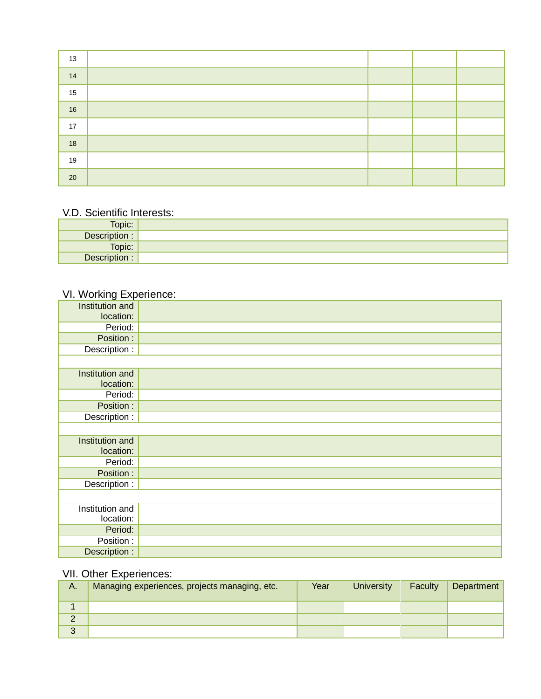| 13     |  |  |
|--------|--|--|
| 14     |  |  |
| 15     |  |  |
| 16     |  |  |
| 17     |  |  |
| $18$   |  |  |
| 19     |  |  |
| $20\,$ |  |  |

#### V.D. Scientific Interests:

| Topic: .      |  |
|---------------|--|
| Description : |  |
| Topic:        |  |
| Description : |  |

## VI. Working Experience:

| Institution and |  |
|-----------------|--|
| location:       |  |
| Period:         |  |
| Position :      |  |
| Description :   |  |
|                 |  |
| Institution and |  |
| location:       |  |
| Period:         |  |
| Position :      |  |
| Description :   |  |
|                 |  |
| Institution and |  |
| location:       |  |
| Period:         |  |
| Position :      |  |
| Description :   |  |
|                 |  |
| Institution and |  |
| location:       |  |
| Period:         |  |
| Position:       |  |
| Description :   |  |

### VII. Other Experiences:

| А. | Managing experiences, projects managing, etc. | Year | <b>University</b> | Faculty | Department |
|----|-----------------------------------------------|------|-------------------|---------|------------|
|    |                                               |      |                   |         |            |
| ∠  |                                               |      |                   |         |            |
| 3  |                                               |      |                   |         |            |